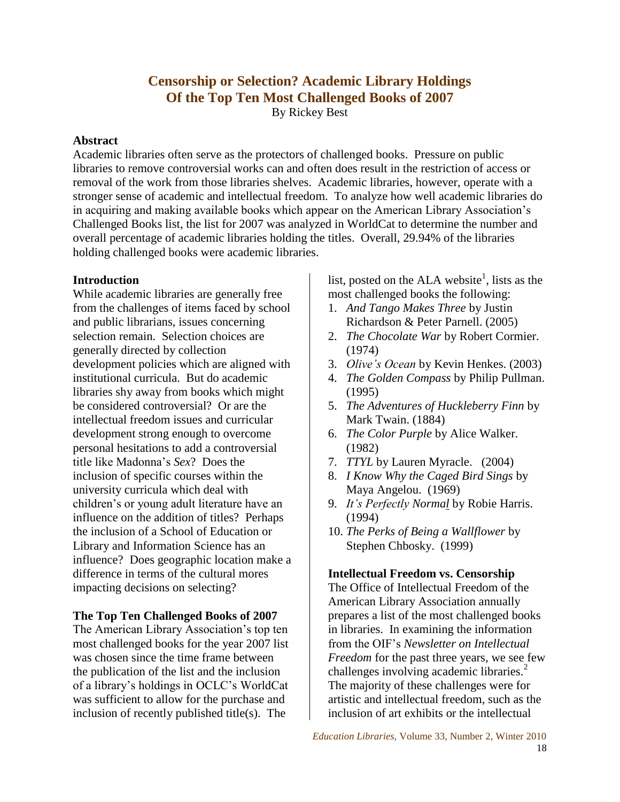# **Censorship or Selection? Academic Library Holdings Of the Top Ten Most Challenged Books of 2007** By Rickey Best

### **Abstract**

Academic libraries often serve as the protectors of challenged books. Pressure on public libraries to remove controversial works can and often does result in the restriction of access or removal of the work from those libraries shelves. Academic libraries, however, operate with a stronger sense of academic and intellectual freedom. To analyze how well academic libraries do in acquiring and making available books which appear on the American Library Association's Challenged Books list, the list for 2007 was analyzed in WorldCat to determine the number and overall percentage of academic libraries holding the titles. Overall, 29.94% of the libraries holding challenged books were academic libraries.

#### **Introduction**

While academic libraries are generally free from the challenges of items faced by school and public librarians, issues concerning selection remain. Selection choices are generally directed by collection development policies which are aligned with institutional curricula. But do academic libraries shy away from books which might be considered controversial? Or are the intellectual freedom issues and curricular development strong enough to overcome personal hesitations to add a controversial title like Madonna's *Sex*? Does the inclusion of specific courses within the university curricula which deal with children's or young adult literature have an influence on the addition of titles? Perhaps the inclusion of a School of Education or Library and Information Science has an influence? Does geographic location make a difference in terms of the cultural mores impacting decisions on selecting?

### **The Top Ten Challenged Books of 2007**

The American Library Association's top ten most challenged books for the year 2007 list was chosen since the time frame between the publication of the list and the inclusion of a library's holdings in OCLC's WorldCat was sufficient to allow for the purchase and inclusion of recently published title(s). The

list, posted on the ALA website<sup>1</sup>, lists as the most challenged books the following:

- 1. *And Tango Makes Three* by Justin Richardson & Peter Parnell. (2005)
- 2. *The Chocolate War* by Robert Cormier. (1974)
- 3. *Olive's Ocean* by Kevin Henkes. (2003)
- 4. *The Golden Compass* by Philip Pullman. (1995)
- 5. *The Adventures of Huckleberry Finn* by Mark Twain. (1884)
- 6. *The Color Purple* by Alice Walker. (1982)
- 7. *TTYL* by Lauren Myracle. (2004)
- 8. *I Know Why the Caged Bird Sings* by Maya Angelou. (1969)
- 9. *It's Perfectly Normal* by Robie Harris. (1994)
- 10. *The Perks of Being a Wallflower* by Stephen Chbosky. (1999)

### **Intellectual Freedom vs. Censorship**

The Office of Intellectual Freedom of the American Library Association annually prepares a list of the most challenged books in libraries. In examining the information from the OIF's *Newsletter on Intellectual Freedom* for the past three years, we see few challenges involving academic libraries. $<sup>2</sup>$ </sup> The majority of these challenges were for artistic and intellectual freedom, such as the inclusion of art exhibits or the intellectual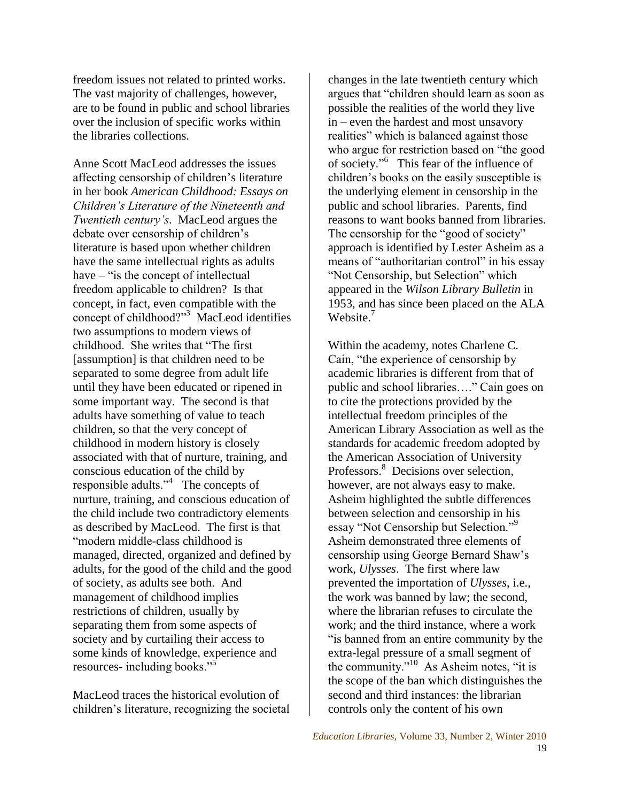freedom issues not related to printed works. The vast majority of challenges, however, are to be found in public and school libraries over the inclusion of specific works within the libraries collections.

Anne Scott MacLeod addresses the issues affecting censorship of children's literature in her book *American Childhood: Essays on Children's Literature of the Nineteenth and Twentieth century's*. MacLeod argues the debate over censorship of children's literature is based upon whether children have the same intellectual rights as adults have  $-$  "is the concept of intellectual freedom applicable to children? Is that concept, in fact, even compatible with the concept of childhood?"<sup>3</sup> MacLeod identifies two assumptions to modern views of childhood. She writes that "The first" [assumption] is that children need to be separated to some degree from adult life until they have been educated or ripened in some important way. The second is that adults have something of value to teach children, so that the very concept of childhood in modern history is closely associated with that of nurture, training, and conscious education of the child by responsible adults." $4$  The concepts of nurture, training, and conscious education of the child include two contradictory elements as described by MacLeod. The first is that "modern middle-class childhood is managed, directed, organized and defined by adults, for the good of the child and the good of society, as adults see both. And management of childhood implies restrictions of children, usually by separating them from some aspects of society and by curtailing their access to some kinds of knowledge, experience and resources- including books."<sup>5</sup>

MacLeod traces the historical evolution of children's literature, recognizing the societal changes in the late twentieth century which argues that "children should learn as soon as possible the realities of the world they live in – even the hardest and most unsavory realities" which is balanced against those who argue for restriction based on "the good" of society."<sup>6</sup> This fear of the influence of children's books on the easily susceptible is the underlying element in censorship in the public and school libraries. Parents, find reasons to want books banned from libraries. The censorship for the "good of society" approach is identified by Lester Asheim as a means of "authoritarian control" in his essay "Not Censorship, but Selection" which appeared in the *Wilson Library Bulletin* in 1953, and has since been placed on the ALA Website.<sup>7</sup>

Within the academy, notes Charlene C. Cain, "the experience of censorship by academic libraries is different from that of public and school libraries...." Cain goes on to cite the protections provided by the intellectual freedom principles of the American Library Association as well as the standards for academic freedom adopted by the American Association of University Professors.<sup>8</sup> Decisions over selection, however, are not always easy to make. Asheim highlighted the subtle differences between selection and censorship in his essay "Not Censorship but Selection."<sup>9</sup> Asheim demonstrated three elements of censorship using George Bernard Shaw's work, *Ulysses*. The first where law prevented the importation of *Ulysses*, i.e., the work was banned by law; the second, where the librarian refuses to circulate the work; and the third instance, where a work ―is banned from an entire community by the extra-legal pressure of a small segment of the community."<sup>10</sup> As Asheim notes, "it is the scope of the ban which distinguishes the second and third instances: the librarian controls only the content of his own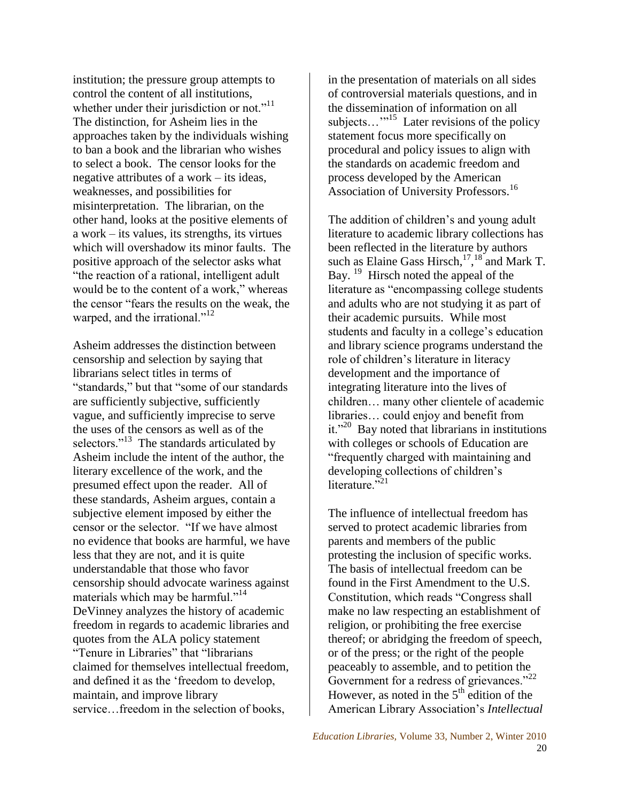institution; the pressure group attempts to control the content of all institutions, whether under their jurisdiction or not." $11$ The distinction, for Asheim lies in the approaches taken by the individuals wishing to ban a book and the librarian who wishes to select a book. The censor looks for the negative attributes of a work – its ideas, weaknesses, and possibilities for misinterpretation. The librarian, on the other hand, looks at the positive elements of a work – its values, its strengths, its virtues which will overshadow its minor faults. The positive approach of the selector asks what "the reaction of a rational, intelligent adult would be to the content of a work," whereas the censor "fears the results on the weak, the warped, and the irrational." $12$ 

Asheim addresses the distinction between censorship and selection by saying that librarians select titles in terms of "standards," but that "some of our standards" are sufficiently subjective, sufficiently vague, and sufficiently imprecise to serve the uses of the censors as well as of the selectors."<sup>13</sup> The standards articulated by Asheim include the intent of the author, the literary excellence of the work, and the presumed effect upon the reader. All of these standards, Asheim argues, contain a subjective element imposed by either the censor or the selector. "If we have almost no evidence that books are harmful, we have less that they are not, and it is quite understandable that those who favor censorship should advocate wariness against materials which may be harmful."<sup>14</sup> DeVinney analyzes the history of academic freedom in regards to academic libraries and quotes from the ALA policy statement "Tenure in Libraries" that "librarians claimed for themselves intellectual freedom, and defined it as the 'freedom to develop, maintain, and improve library service…freedom in the selection of books,

in the presentation of materials on all sides of controversial materials questions, and in the dissemination of information on all subjects... $^{15}$  Later revisions of the policy statement focus more specifically on procedural and policy issues to align with the standards on academic freedom and process developed by the American Association of University Professors.<sup>16</sup>

The addition of children's and young adult literature to academic library collections has been reflected in the literature by authors such as Elaine Gass Hirsch, $17,18$  and Mark T. Bay. <sup>19</sup> Hirsch noted the appeal of the literature as "encompassing college students" and adults who are not studying it as part of their academic pursuits. While most students and faculty in a college's education and library science programs understand the role of children's literature in literacy development and the importance of integrating literature into the lives of children… many other clientele of academic libraries… could enjoy and benefit from it."<sup>20</sup> Bay noted that librarians in institutions with colleges or schools of Education are ―frequently charged with maintaining and developing collections of children's literature $^{221}$ 

The influence of intellectual freedom has served to protect academic libraries from parents and members of the public protesting the inclusion of specific works. The basis of intellectual freedom can be found in the First Amendment to the U.S. Constitution, which reads "Congress shall make no law respecting an establishment of religion, or prohibiting the free exercise thereof; or abridging the freedom of speech, or of the press; or the right of the people peaceably to assemble, and to petition the Government for a redress of grievances." $22$ However, as noted in the  $5<sup>th</sup>$  edition of the American Library Association's *Intellectual*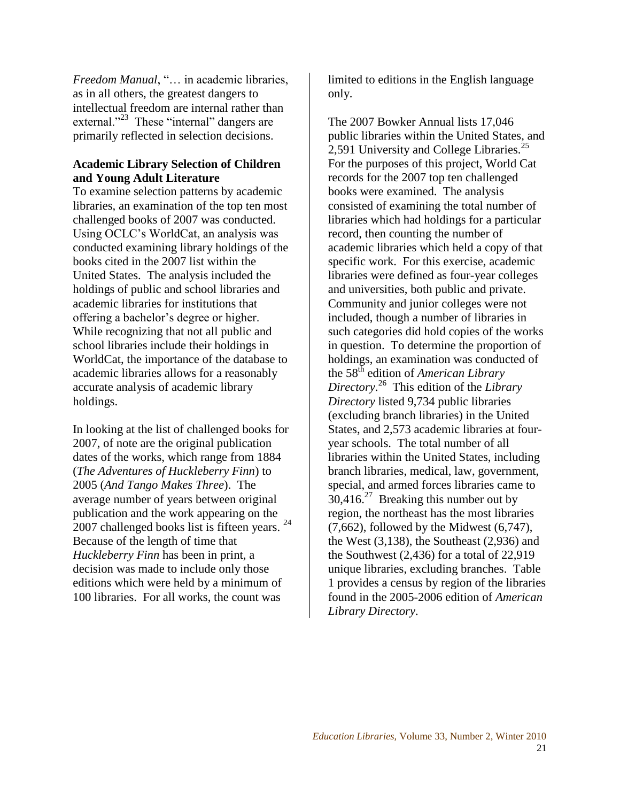*Freedom Manual*, "... in academic libraries, as in all others, the greatest dangers to intellectual freedom are internal rather than external."<sup>23</sup> These "internal" dangers are primarily reflected in selection decisions.

# **Academic Library Selection of Children and Young Adult Literature**

To examine selection patterns by academic libraries, an examination of the top ten most challenged books of 2007 was conducted. Using OCLC's WorldCat, an analysis was conducted examining library holdings of the books cited in the 2007 list within the United States. The analysis included the holdings of public and school libraries and academic libraries for institutions that offering a bachelor's degree or higher. While recognizing that not all public and school libraries include their holdings in WorldCat, the importance of the database to academic libraries allows for a reasonably accurate analysis of academic library holdings.

In looking at the list of challenged books for 2007, of note are the original publication dates of the works, which range from 1884 (*The Adventures of Huckleberry Finn*) to 2005 (*And Tango Makes Three*). The average number of years between original publication and the work appearing on the 2007 challenged books list is fifteen years. <sup>24</sup> Because of the length of time that *Huckleberry Finn* has been in print, a decision was made to include only those editions which were held by a minimum of 100 libraries. For all works, the count was

limited to editions in the English language only.

The 2007 Bowker Annual lists 17,046 public libraries within the United States, and 2,591 University and College Libraries.<sup>25</sup> For the purposes of this project, World Cat records for the 2007 top ten challenged books were examined. The analysis consisted of examining the total number of libraries which had holdings for a particular record, then counting the number of academic libraries which held a copy of that specific work. For this exercise, academic libraries were defined as four-year colleges and universities, both public and private. Community and junior colleges were not included, though a number of libraries in such categories did hold copies of the works in question. To determine the proportion of holdings, an examination was conducted of the 58th edition of *American Library Directory*. 26 This edition of the *Library Directory* listed 9,734 public libraries (excluding branch libraries) in the United States, and 2,573 academic libraries at fouryear schools. The total number of all libraries within the United States, including branch libraries, medical, law, government, special, and armed forces libraries came to  $30,416$ <sup>27</sup> Breaking this number out by region, the northeast has the most libraries  $(7,662)$ , followed by the Midwest  $(6,747)$ , the West (3,138), the Southeast (2,936) and the Southwest (2,436) for a total of 22,919 unique libraries, excluding branches. Table 1 provides a census by region of the libraries found in the 2005-2006 edition of *American Library Directory*.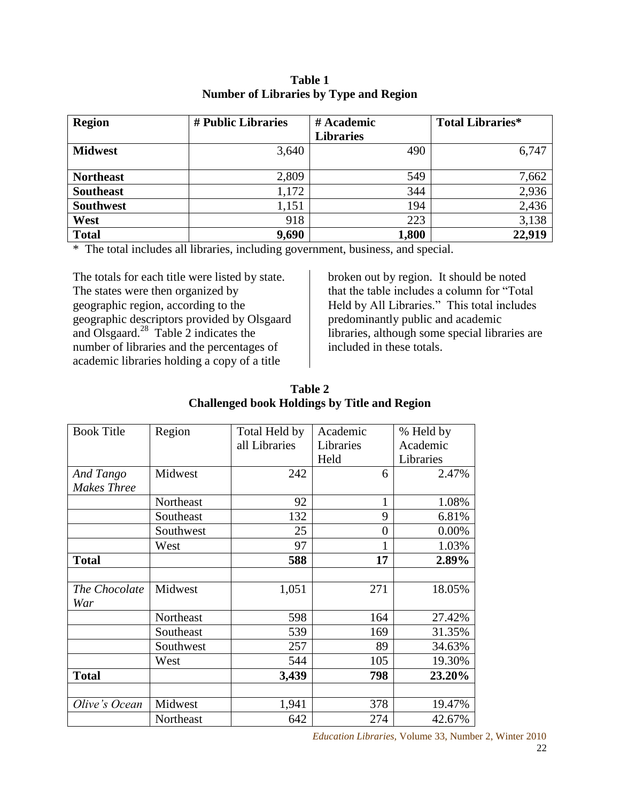| <b>Region</b>    | # Public Libraries | # Academic       | <b>Total Libraries*</b> |
|------------------|--------------------|------------------|-------------------------|
|                  |                    | <b>Libraries</b> |                         |
| <b>Midwest</b>   | 3,640              | 490              | 6,747                   |
| <b>Northeast</b> | 2,809              | 549              | 7,662                   |
| <b>Southeast</b> | 1,172              | 344              | 2,936                   |
| <b>Southwest</b> | 1,151              | 194              | 2,436                   |
| West             | 918                | 223              | 3,138                   |
| <b>Total</b>     | 9,690              | 1,800            | 22,919                  |

**Table 1 Number of Libraries by Type and Region**

\* The total includes all libraries, including government, business, and special.

The totals for each title were listed by state. The states were then organized by geographic region, according to the geographic descriptors provided by Olsgaard and Olsgaard. $^{28}$  Table 2 indicates the number of libraries and the percentages of academic libraries holding a copy of a title

broken out by region. It should be noted that the table includes a column for "Total Held by All Libraries." This total includes predominantly public and academic libraries, although some special libraries are included in these totals.

| Table 2                                             |
|-----------------------------------------------------|
| <b>Challenged book Holdings by Title and Region</b> |

| <b>Book Title</b>    | Region    | Total Held by | Academic  | % Held by |
|----------------------|-----------|---------------|-----------|-----------|
|                      |           | all Libraries | Libraries | Academic  |
|                      |           |               | Held      | Libraries |
| And Tango            | Midwest   | 242           | 6         | 2.47%     |
| <b>Makes Three</b>   |           |               |           |           |
|                      | Northeast | 92            | 1         | 1.08%     |
|                      | Southeast | 132           | 9         | 6.81%     |
|                      | Southwest | 25            | 0         | 0.00%     |
|                      | West      | 97            | 1         | 1.03%     |
| <b>Total</b>         |           | 588           | 17        | 2.89%     |
| The Chocolate<br>War | Midwest   | 1,051         | 271       | 18.05%    |
|                      | Northeast | 598           | 164       | 27.42%    |
|                      | Southeast | 539           | 169       | 31.35%    |
|                      | Southwest | 257           | 89        | 34.63%    |
|                      | West      | 544           | 105       | 19.30%    |
| <b>Total</b>         |           | 3,439         | 798       | 23.20%    |
| Olive's Ocean        | Midwest   | 1,941         | 378       | 19.47%    |
|                      | Northeast | 642           | 274       | 42.67%    |

*Education Libraries,* Volume 33, Number 2, Winter 2010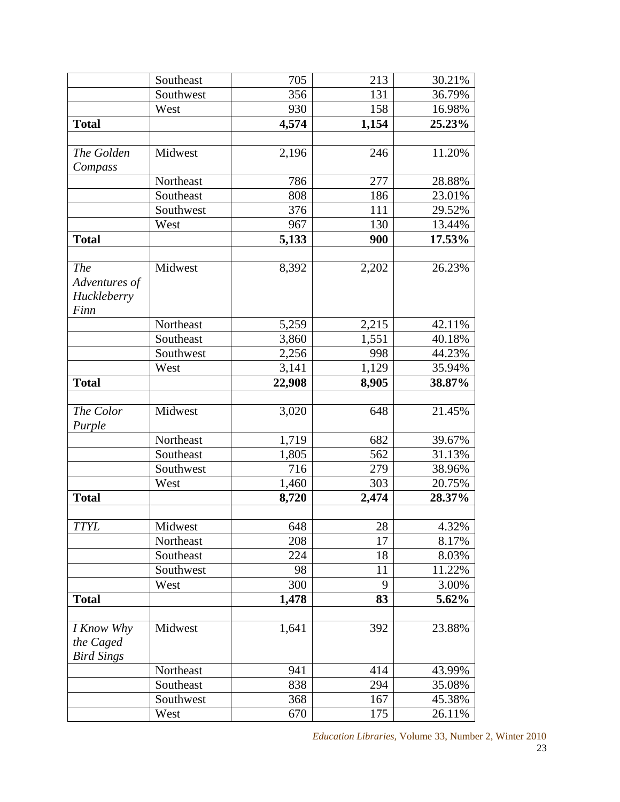|                                                    | Southeast | 705    | 213   | 30.21% |
|----------------------------------------------------|-----------|--------|-------|--------|
|                                                    | Southwest | 356    | 131   | 36.79% |
|                                                    | West      | 930    | 158   | 16.98% |
| <b>Total</b>                                       |           | 4,574  | 1,154 | 25.23% |
|                                                    |           |        |       |        |
| The Golden                                         | Midwest   | 2,196  | 246   | 11.20% |
| Compass                                            |           |        |       |        |
|                                                    | Northeast | 786    | 277   | 28.88% |
|                                                    | Southeast | 808    | 186   | 23.01% |
|                                                    | Southwest | 376    | 111   | 29.52% |
|                                                    | West      | 967    | 130   | 13.44% |
| <b>Total</b>                                       |           | 5,133  | 900   | 17.53% |
|                                                    |           |        |       |        |
| <b>The</b><br>Adventures of<br>Huckleberry<br>Finn | Midwest   | 8,392  | 2,202 | 26.23% |
|                                                    | Northeast | 5,259  | 2,215 | 42.11% |
|                                                    | Southeast | 3,860  | 1,551 | 40.18% |
|                                                    | Southwest | 2,256  | 998   | 44.23% |
|                                                    | West      | 3,141  | 1,129 | 35.94% |
| <b>Total</b>                                       |           | 22,908 | 8,905 | 38.87% |
|                                                    |           |        |       |        |
| The Color<br>Purple                                | Midwest   | 3,020  | 648   | 21.45% |
|                                                    | Northeast | 1,719  | 682   | 39.67% |
|                                                    | Southeast | 1,805  | 562   | 31.13% |
|                                                    | Southwest | 716    | 279   | 38.96% |
|                                                    | West      | 1,460  | 303   | 20.75% |
| <b>Total</b>                                       |           | 8,720  | 2,474 | 28.37% |
|                                                    |           |        |       |        |
| <b>TTYL</b>                                        | Midwest   | 648    | 28    | 4.32%  |
|                                                    | Northeast | 208    | 17    | 8.17%  |
|                                                    | Southeast | 224    | 18    | 8.03%  |
|                                                    | Southwest | 98     | 11    | 11.22% |
|                                                    | West      | 300    | 9     | 3.00%  |
| <b>Total</b>                                       |           | 1,478  | 83    | 5.62%  |
|                                                    |           |        |       |        |
| I Know Why<br>the Caged<br><b>Bird Sings</b>       | Midwest   | 1,641  | 392   | 23.88% |
|                                                    | Northeast | 941    | 414   | 43.99% |
|                                                    | Southeast | 838    | 294   | 35.08% |
|                                                    | Southwest | 368    | 167   | 45.38% |
|                                                    | West      | 670    | 175   | 26.11% |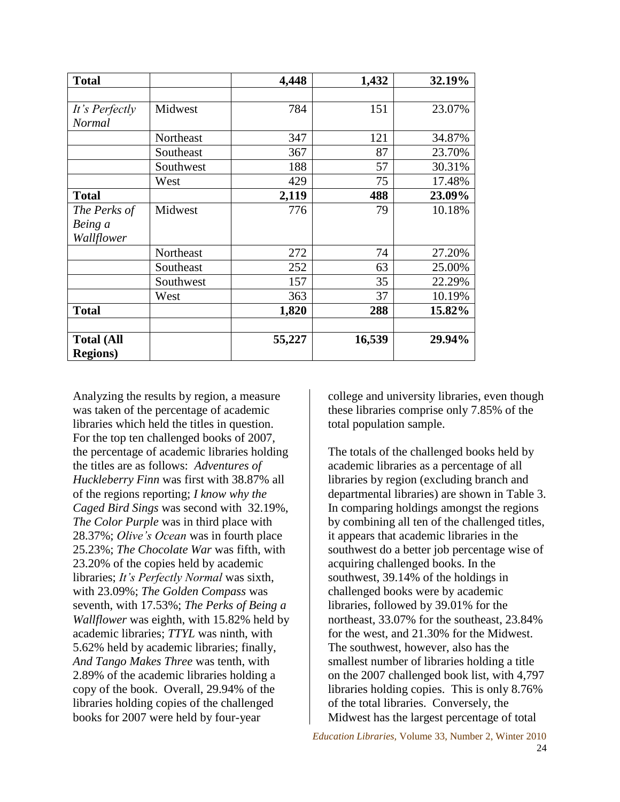| <b>Total</b>      |           | 4,448  | 1,432  | 32.19% |
|-------------------|-----------|--------|--------|--------|
|                   |           |        |        |        |
| It's Perfectly    | Midwest   | 784    | 151    | 23.07% |
| Normal            |           |        |        |        |
|                   | Northeast | 347    | 121    | 34.87% |
|                   | Southeast | 367    | 87     | 23.70% |
|                   | Southwest | 188    | 57     | 30.31% |
|                   | West      | 429    | 75     | 17.48% |
| <b>Total</b>      |           | 2,119  | 488    | 23.09% |
| The Perks of      | Midwest   | 776    | 79     | 10.18% |
| Being a           |           |        |        |        |
| Wallflower        |           |        |        |        |
|                   | Northeast | 272    | 74     | 27.20% |
|                   | Southeast | 252    | 63     | 25.00% |
|                   | Southwest | 157    | 35     | 22.29% |
|                   | West      | 363    | 37     | 10.19% |
| <b>Total</b>      |           | 1,820  | 288    | 15.82% |
| <b>Total (All</b> |           | 55,227 | 16,539 | 29.94% |
| <b>Regions</b> )  |           |        |        |        |

Analyzing the results by region, a measure was taken of the percentage of academic libraries which held the titles in question. For the top ten challenged books of 2007, the percentage of academic libraries holding the titles are as follows: *Adventures of Huckleberry Finn* was first with 38.87% all of the regions reporting; *I know why the Caged Bird Sings* was second with 32.19%, *The Color Purple* was in third place with 28.37%; *Olive's Ocean* was in fourth place 25.23%; *The Chocolate War* was fifth, with 23.20% of the copies held by academic libraries; *It's Perfectly Normal* was sixth, with 23.09%; *The Golden Compass* was seventh, with 17.53%; *The Perks of Being a Wallflower* was eighth, with 15.82% held by academic libraries; *TTYL* was ninth, with 5.62% held by academic libraries; finally, *And Tango Makes Three* was tenth, with 2.89% of the academic libraries holding a copy of the book. Overall, 29.94% of the libraries holding copies of the challenged books for 2007 were held by four-year

college and university libraries, even though these libraries comprise only 7.85% of the total population sample.

The totals of the challenged books held by academic libraries as a percentage of all libraries by region (excluding branch and departmental libraries) are shown in Table 3. In comparing holdings amongst the regions by combining all ten of the challenged titles, it appears that academic libraries in the southwest do a better job percentage wise of acquiring challenged books. In the southwest, 39.14% of the holdings in challenged books were by academic libraries, followed by 39.01% for the northeast, 33.07% for the southeast, 23.84% for the west, and 21.30% for the Midwest. The southwest, however, also has the smallest number of libraries holding a title on the 2007 challenged book list, with 4,797 libraries holding copies. This is only 8.76% of the total libraries. Conversely, the Midwest has the largest percentage of total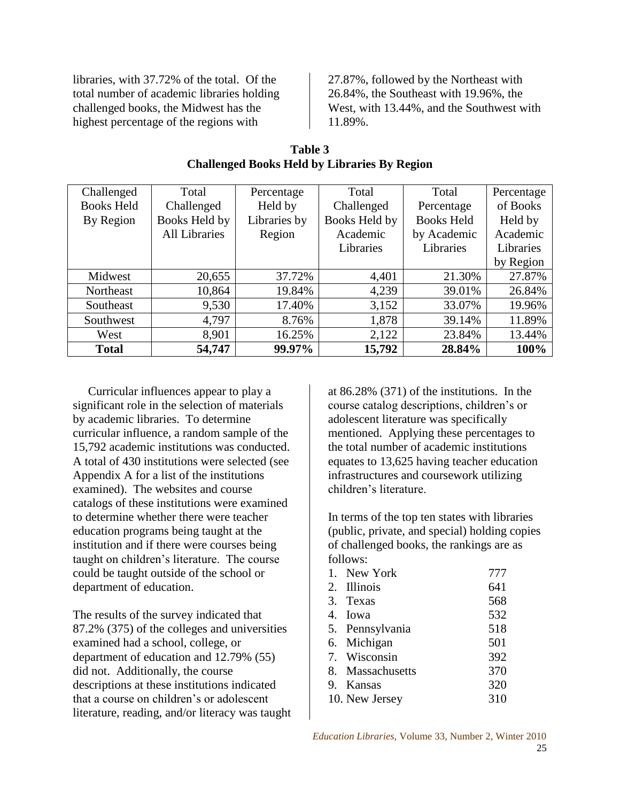libraries, with 37.72% of the total. Of the total number of academic libraries holding challenged books, the Midwest has the highest percentage of the regions with

27.87%, followed by the Northeast with 26.84%, the Southeast with 19.96%, the West, with 13.44%, and the Southwest with 11.89%.

| Challenged        | Total                | Percentage   | Total         | Total             | Percentage |
|-------------------|----------------------|--------------|---------------|-------------------|------------|
| <b>Books Held</b> | Challenged           | Held by      | Challenged    | Percentage        | of Books   |
| By Region         | Books Held by        | Libraries by | Books Held by | <b>Books Held</b> | Held by    |
|                   | <b>All Libraries</b> | Region       | Academic      | by Academic       | Academic   |
|                   |                      |              | Libraries     | Libraries         | Libraries  |
|                   |                      |              |               |                   | by Region  |
| Midwest           | 20,655               | 37.72%       | 4,401         | 21.30%            | 27.87%     |
| Northeast         | 10,864               | 19.84%       | 4,239         | 39.01%            | 26.84%     |
| Southeast         | 9,530                | 17.40%       | 3,152         | 33.07%            | 19.96%     |
| Southwest         | 4,797                | 8.76%        | 1,878         | 39.14%            | 11.89%     |
| West              | 8,901                | 16.25%       | 2,122         | 23.84%            | 13.44%     |
| <b>Total</b>      | 54,747               | 99.97%       | 15,792        | 28.84%            | 100%       |

**Table 3 Challenged Books Held by Libraries By Region**

 Curricular influences appear to play a significant role in the selection of materials by academic libraries. To determine curricular influence, a random sample of the 15,792 academic institutions was conducted. A total of 430 institutions were selected (see Appendix A for a list of the institutions examined). The websites and course catalogs of these institutions were examined to determine whether there were teacher education programs being taught at the institution and if there were courses being taught on children's literature. The course could be taught outside of the school or department of education.

The results of the survey indicated that 87.2% (375) of the colleges and universities examined had a school, college, or department of education and 12.79% (55) did not. Additionally, the course descriptions at these institutions indicated that a course on children's or adolescent literature, reading, and/or literacy was taught at 86.28% (371) of the institutions. In the course catalog descriptions, children's or adolescent literature was specifically mentioned. Applying these percentages to the total number of academic institutions equates to 13,625 having teacher education infrastructures and coursework utilizing children's literature.

In terms of the top ten states with libraries (public, private, and special) holding copies of challenged books, the rankings are as follows:

| 1. New York      | 777 |
|------------------|-----|
| 2. Illinois      | 641 |
| 3. Texas         | 568 |
| 4. Iowa          | 532 |
| 5. Pennsylvania  | 518 |
| 6. Michigan      | 501 |
| 7. Wisconsin     | 392 |
| 8. Massachusetts | 370 |
| 9. Kansas        | 320 |
| 10. New Jersey   | 310 |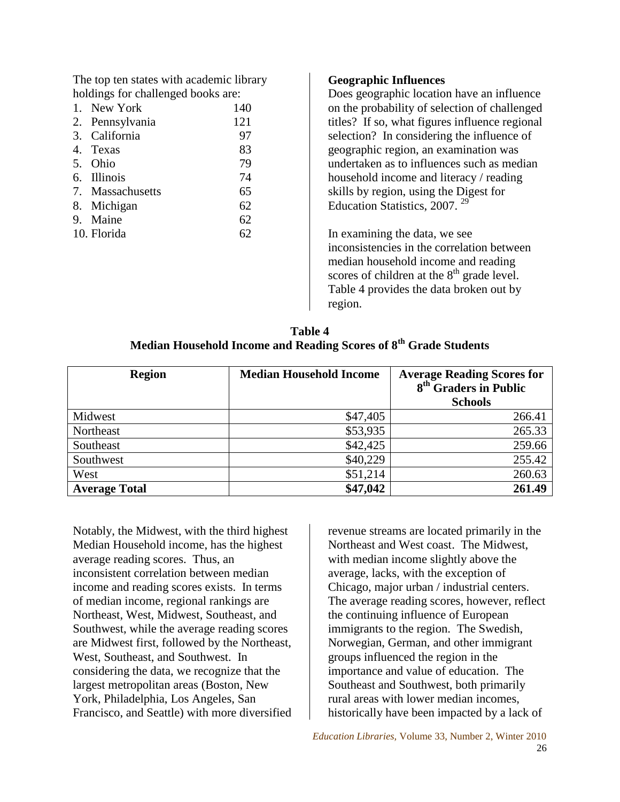The top ten states with academic library holdings for challenged books are:

| 1. New York      | 140 |
|------------------|-----|
| 2. Pennsylvania  | 121 |
| 3. California    | 97  |
| 4. Texas         | 83  |
| 5. Ohio          | 79  |
| 6. Illinois      | 74  |
| 7. Massachusetts | 65  |
| 8. Michigan      | 62  |
| 9. Maine         | 62  |
| 10. Florida      | 62  |

### **Geographic Influences**

Does geographic location have an influence on the probability of selection of challenged titles? If so, what figures influence regional selection? In considering the influence of geographic region, an examination was undertaken as to influences such as median household income and literacy / reading skills by region, using the Digest for Education Statistics, 2007. <sup>29</sup>

In examining the data, we see inconsistencies in the correlation between median household income and reading scores of children at the  $8<sup>th</sup>$  grade level. Table 4 provides the data broken out by region.

| Table 4                                                                      |
|------------------------------------------------------------------------------|
| Median Household Income and Reading Scores of 8 <sup>th</sup> Grade Students |

| <b>Region</b>        | <b>Median Household Income</b> | <b>Average Reading Scores for</b><br>8 <sup>th</sup> Graders in Public<br><b>Schools</b> |
|----------------------|--------------------------------|------------------------------------------------------------------------------------------|
| Midwest              | \$47,405                       | 266.41                                                                                   |
| Northeast            | \$53,935                       | 265.33                                                                                   |
| Southeast            | \$42,425                       | 259.66                                                                                   |
| Southwest            | \$40,229                       | 255.42                                                                                   |
| West                 | \$51,214                       | 260.63                                                                                   |
| <b>Average Total</b> | \$47,042                       | 261.49                                                                                   |

Notably, the Midwest, with the third highest Median Household income, has the highest average reading scores. Thus, an inconsistent correlation between median income and reading scores exists. In terms of median income, regional rankings are Northeast, West, Midwest, Southeast, and Southwest, while the average reading scores are Midwest first, followed by the Northeast, West, Southeast, and Southwest. In considering the data, we recognize that the largest metropolitan areas (Boston, New York, Philadelphia, Los Angeles, San Francisco, and Seattle) with more diversified revenue streams are located primarily in the Northeast and West coast. The Midwest, with median income slightly above the average, lacks, with the exception of Chicago, major urban / industrial centers. The average reading scores, however, reflect the continuing influence of European immigrants to the region. The Swedish, Norwegian, German, and other immigrant groups influenced the region in the importance and value of education. The Southeast and Southwest, both primarily rural areas with lower median incomes, historically have been impacted by a lack of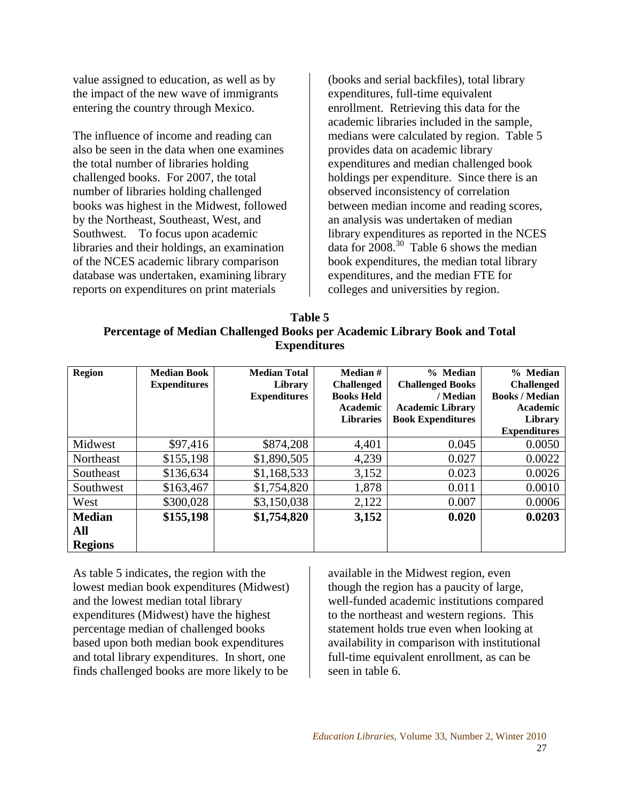value assigned to education, as well as by the impact of the new wave of immigrants entering the country through Mexico.

The influence of income and reading can also be seen in the data when one examines the total number of libraries holding challenged books. For 2007, the total number of libraries holding challenged books was highest in the Midwest, followed by the Northeast, Southeast, West, and Southwest. To focus upon academic libraries and their holdings, an examination of the NCES academic library comparison database was undertaken, examining library reports on expenditures on print materials

(books and serial backfiles), total library expenditures, full-time equivalent enrollment. Retrieving this data for the academic libraries included in the sample, medians were calculated by region. Table 5 provides data on academic library expenditures and median challenged book holdings per expenditure. Since there is an observed inconsistency of correlation between median income and reading scores, an analysis was undertaken of median library expenditures as reported in the NCES data for  $2008^{30}$  Table 6 shows the median book expenditures, the median total library expenditures, and the median FTE for colleges and universities by region.

| Table 5                                                                   |
|---------------------------------------------------------------------------|
| Percentage of Median Challenged Books per Academic Library Book and Total |
| <b>Expenditures</b>                                                       |

| <b>Region</b>  | <b>Median Book</b><br><b>Expenditures</b> | <b>Median Total</b><br>Library<br><b>Expenditures</b> | Median #<br><b>Challenged</b><br><b>Books Held</b><br>Academic<br><b>Libraries</b> | % Median<br><b>Challenged Books</b><br>/ Median<br><b>Academic Library</b><br><b>Book Expenditures</b> | % Median<br><b>Challenged</b><br><b>Books / Median</b><br>Academic<br>Library |
|----------------|-------------------------------------------|-------------------------------------------------------|------------------------------------------------------------------------------------|--------------------------------------------------------------------------------------------------------|-------------------------------------------------------------------------------|
|                |                                           |                                                       |                                                                                    |                                                                                                        | <b>Expenditures</b>                                                           |
| Midwest        | \$97,416                                  | \$874,208                                             | 4,401                                                                              | 0.045                                                                                                  | 0.0050                                                                        |
| Northeast      | \$155,198                                 | \$1,890,505                                           | 4,239                                                                              | 0.027                                                                                                  | 0.0022                                                                        |
| Southeast      | \$136,634                                 | \$1,168,533                                           | 3,152                                                                              | 0.023                                                                                                  | 0.0026                                                                        |
| Southwest      | \$163,467                                 | \$1,754,820                                           | 1,878                                                                              | 0.011                                                                                                  | 0.0010                                                                        |
| West           | \$300,028                                 | \$3,150,038                                           | 2,122                                                                              | 0.007                                                                                                  | 0.0006                                                                        |
| <b>Median</b>  | \$155,198                                 | \$1,754,820                                           | 3,152                                                                              | 0.020                                                                                                  | 0.0203                                                                        |
| All            |                                           |                                                       |                                                                                    |                                                                                                        |                                                                               |
| <b>Regions</b> |                                           |                                                       |                                                                                    |                                                                                                        |                                                                               |

As table 5 indicates, the region with the lowest median book expenditures (Midwest) and the lowest median total library expenditures (Midwest) have the highest percentage median of challenged books based upon both median book expenditures and total library expenditures. In short, one finds challenged books are more likely to be

available in the Midwest region, even though the region has a paucity of large, well-funded academic institutions compared to the northeast and western regions. This statement holds true even when looking at availability in comparison with institutional full-time equivalent enrollment, as can be seen in table 6.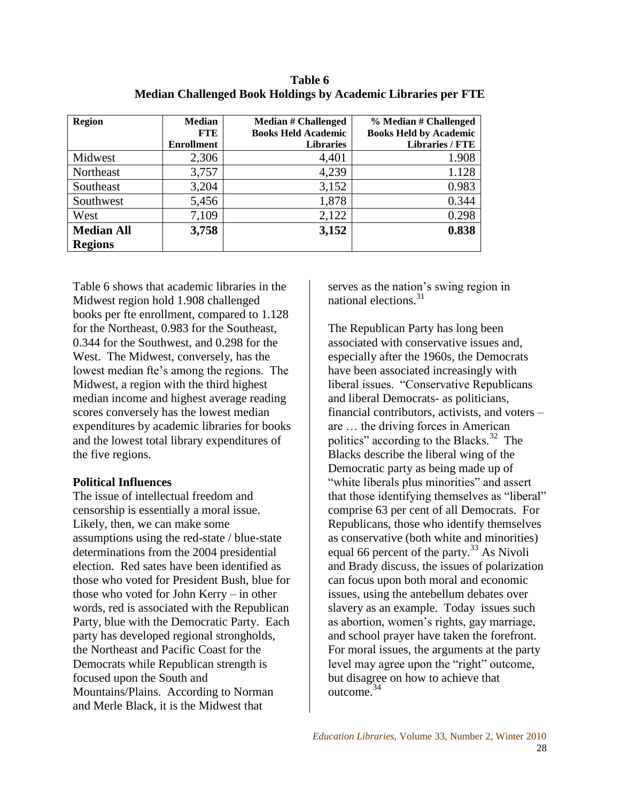| <b>Region</b>     | <b>Median</b><br><b>FTE</b><br><b>Enrollment</b> | <b>Median # Challenged</b><br><b>Books Held Academic</b><br><b>Libraries</b> | % Median # Challenged<br><b>Books Held by Academic</b><br><b>Libraries / FTE</b> |
|-------------------|--------------------------------------------------|------------------------------------------------------------------------------|----------------------------------------------------------------------------------|
| Midwest           | 2,306                                            | 4,401                                                                        | 1.908                                                                            |
|                   |                                                  |                                                                              |                                                                                  |
| Northeast         | 3,757                                            | 4,239                                                                        | 1.128                                                                            |
| Southeast         | 3,204                                            | 3,152                                                                        | 0.983                                                                            |
| Southwest         | 5,456                                            | 1,878                                                                        | 0.344                                                                            |
| West              | 7,109                                            | 2,122                                                                        | 0.298                                                                            |
| <b>Median All</b> | 3,758                                            | 3,152                                                                        | 0.838                                                                            |
| <b>Regions</b>    |                                                  |                                                                              |                                                                                  |

**Table 6 Median Challenged Book Holdings by Academic Libraries per FTE**

Table 6 shows that academic libraries in the Midwest region hold 1.908 challenged books per fte enrollment, compared to 1.128 for the Northeast, 0.983 for the Southeast, 0.344 for the Southwest, and 0.298 for the West. The Midwest, conversely, has the lowest median fte's among the regions. The Midwest, a region with the third highest median income and highest average reading scores conversely has the lowest median expenditures by academic libraries for books and the lowest total library expenditures of the five regions.

### **Political Influences**

The issue of intellectual freedom and censorship is essentially a moral issue. Likely, then, we can make some assumptions using the red-state / blue-state determinations from the 2004 presidential election. Red sates have been identified as those who voted for President Bush, blue for those who voted for John Kerry – in other words, red is associated with the Republican Party, blue with the Democratic Party. Each party has developed regional strongholds, the Northeast and Pacific Coast for the Democrats while Republican strength is focused upon the South and Mountains/Plains. According to Norman and Merle Black, it is the Midwest that

serves as the nation's swing region in national elections.<sup>31</sup>

The Republican Party has long been associated with conservative issues and, especially after the 1960s, the Democrats have been associated increasingly with liberal issues. "Conservative Republicans and liberal Democrats- as politicians, financial contributors, activists, and voters – are … the driving forces in American politics" according to the Blacks.<sup>32</sup> The Blacks describe the liberal wing of the Democratic party as being made up of "white liberals plus minorities" and assert that those identifying themselves as "liberal" comprise 63 per cent of all Democrats. For Republicans, those who identify themselves as conservative (both white and minorities) equal 66 percent of the party.<sup>33</sup> As Nivoli and Brady discuss, the issues of polarization can focus upon both moral and economic issues, using the antebellum debates over slavery as an example. Today issues such as abortion, women's rights, gay marriage, and school prayer have taken the forefront. For moral issues, the arguments at the party level may agree upon the "right" outcome, but disagree on how to achieve that outcome.<sup>34</sup>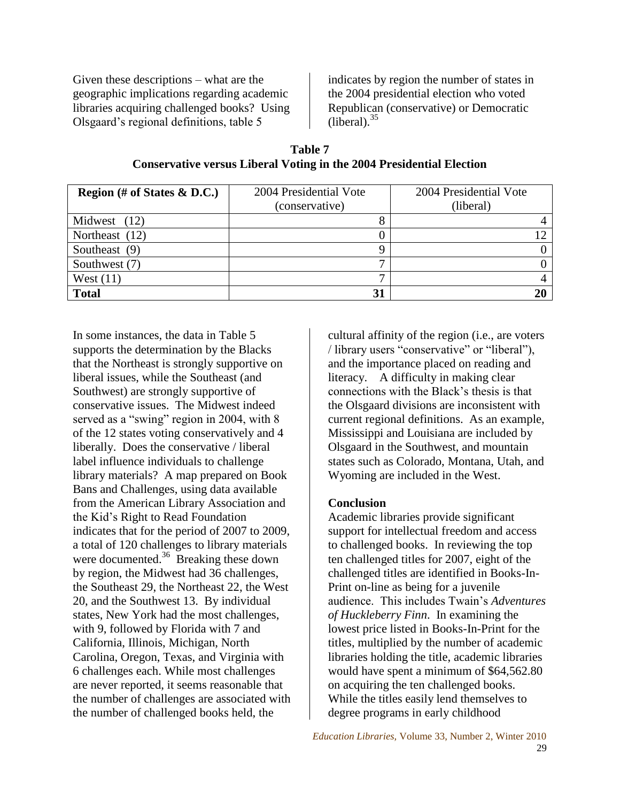Given these descriptions – what are the geographic implications regarding academic libraries acquiring challenged books? Using Olsgaard's regional definitions, table 5

indicates by region the number of states in the 2004 presidential election who voted Republican (conservative) or Democratic  $(i\bar{b} \text{eral})$ .<sup>35</sup>

**Table 7 Conservative versus Liberal Voting in the 2004 Presidential Election**

| Region (# of States $\&$ D.C.) | 2004 Presidential Vote | 2004 Presidential Vote |
|--------------------------------|------------------------|------------------------|
|                                | (conservative)         | (liberal)              |
| Midwest (12)                   | Ω                      |                        |
| Northeast (12)                 |                        |                        |
| Southeast (9)                  |                        |                        |
| Southwest (7)                  | −                      |                        |
| West $(11)$                    | −                      |                        |
| <b>Total</b>                   | 31                     |                        |

In some instances, the data in Table 5 supports the determination by the Blacks that the Northeast is strongly supportive on liberal issues, while the Southeast (and Southwest) are strongly supportive of conservative issues. The Midwest indeed served as a "swing" region in  $2004$ , with  $8$ of the 12 states voting conservatively and 4 liberally. Does the conservative / liberal label influence individuals to challenge library materials? A map prepared on Book Bans and Challenges, using data available from the American Library Association and the Kid's Right to Read Foundation indicates that for the period of 2007 to 2009, a total of 120 challenges to library materials were documented.<sup>36</sup> Breaking these down by region, the Midwest had 36 challenges, the Southeast 29, the Northeast 22, the West 20, and the Southwest 13. By individual states, New York had the most challenges, with 9, followed by Florida with 7 and California, Illinois, Michigan, North Carolina, Oregon, Texas, and Virginia with 6 challenges each. While most challenges are never reported, it seems reasonable that the number of challenges are associated with the number of challenged books held, the

cultural affinity of the region (i.e., are voters / library users "conservative" or "liberal"), and the importance placed on reading and literacy. A difficulty in making clear connections with the Black's thesis is that the Olsgaard divisions are inconsistent with current regional definitions. As an example, Mississippi and Louisiana are included by Olsgaard in the Southwest, and mountain states such as Colorado, Montana, Utah, and Wyoming are included in the West.

### **Conclusion**

Academic libraries provide significant support for intellectual freedom and access to challenged books. In reviewing the top ten challenged titles for 2007, eight of the challenged titles are identified in Books-In-Print on-line as being for a juvenile audience. This includes Twain's *Adventures of Huckleberry Finn*. In examining the lowest price listed in Books-In-Print for the titles, multiplied by the number of academic libraries holding the title, academic libraries would have spent a minimum of \$64,562.80 on acquiring the ten challenged books. While the titles easily lend themselves to degree programs in early childhood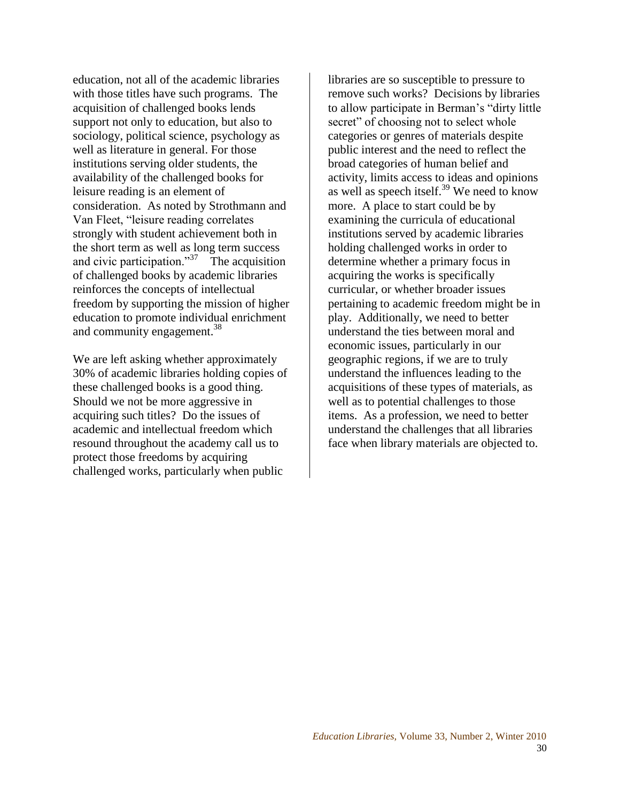education, not all of the academic libraries with those titles have such programs. The acquisition of challenged books lends support not only to education, but also to sociology, political science, psychology as well as literature in general. For those institutions serving older students, the availability of the challenged books for leisure reading is an element of consideration. As noted by Strothmann and Van Fleet, "leisure reading correlates" strongly with student achievement both in the short term as well as long term success and civic participation." $37$  The acquisition of challenged books by academic libraries reinforces the concepts of intellectual freedom by supporting the mission of higher education to promote individual enrichment and community engagement.<sup>38</sup>

We are left asking whether approximately 30% of academic libraries holding copies of these challenged books is a good thing. Should we not be more aggressive in acquiring such titles? Do the issues of academic and intellectual freedom which resound throughout the academy call us to protect those freedoms by acquiring challenged works, particularly when public

libraries are so susceptible to pressure to remove such works? Decisions by libraries to allow participate in Berman's "dirty little" secret" of choosing not to select whole categories or genres of materials despite public interest and the need to reflect the broad categories of human belief and activity, limits access to ideas and opinions as well as speech itself.<sup>39</sup> We need to know more. A place to start could be by examining the curricula of educational institutions served by academic libraries holding challenged works in order to determine whether a primary focus in acquiring the works is specifically curricular, or whether broader issues pertaining to academic freedom might be in play. Additionally, we need to better understand the ties between moral and economic issues, particularly in our geographic regions, if we are to truly understand the influences leading to the acquisitions of these types of materials, as well as to potential challenges to those items. As a profession, we need to better understand the challenges that all libraries face when library materials are objected to.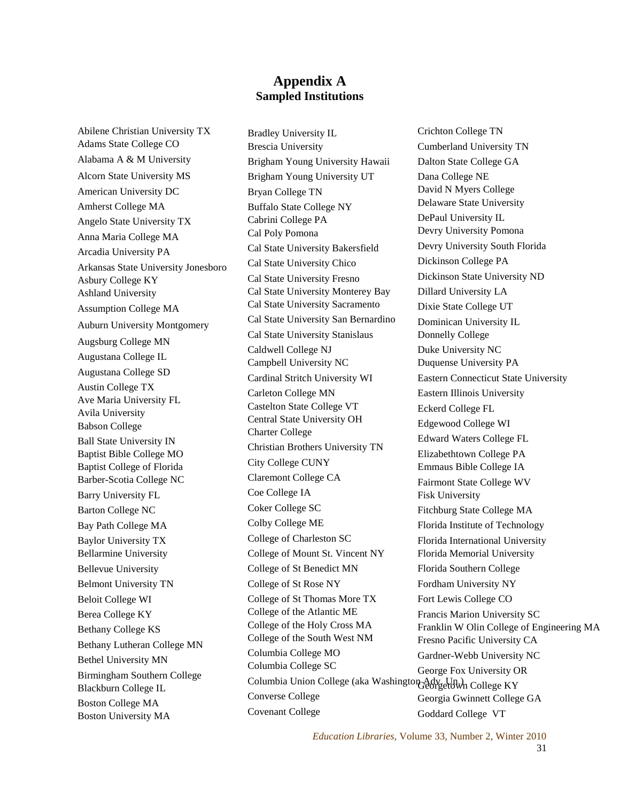## **Appendix A Sampled Institutions**

Abilene Christian University TX Adams State College CO Alabama A & M University Alcorn State University MS American University DC Amherst College MA Angelo State University TX Anna Maria College MA Arcadia University PA Arkansas State University Jonesboro Asbury College KY Ashland University Assumption College MA Auburn University Montgomery Augsburg College MN Augustana College IL Augustana College SD Austin College TX Ave Maria University FL Avila University Babson College Ball State University IN Baptist Bible College MO Baptist College of Florida Barber-Scotia College NC Barry University FL Barton College NC Bay Path College MA Baylor University TX Bellarmine University Bellevue University Belmont University TN Beloit College WI Berea College KY Bethany College KS Bethany Lutheran College MN Bethel University MN Birmingham Southern College Blackburn College IL Boston College MA Boston University MA

Bradley University IL Brescia University Brigham Young University Hawaii Brigham Young University UT Bryan College TN Buffalo State College NY Cabrini College PA Cal Poly Pomona Cal State University Bakersfield Cal State University Chico Cal State University Fresno Cal State University Monterey Bay Cal State University Sacramento Cal State University San Bernardino Cal State University Stanislaus Caldwell College NJ Campbell University NC Cardinal Stritch University WI Carleton College MN Castelton State College VT Central State University OH Charter College Christian Brothers University TN City College CUNY Claremont College CA Coe College IA Coker College SC Colby College ME College of Charleston SC College of Mount St. Vincent NY College of St Benedict MN College of St Rose NY College of St Thomas More TX College of the Atlantic ME College of the Holy Cross MA College of the South West NM Columbia College MO Columbia College SC Columbia Union College (aka Washington Adv. Un.) Georgetown College KY Converse College Covenant College

Crichton College TN Cumberland University TN Dalton State College GA Dana College NE David N Myers College Delaware State University DePaul University IL Devry University Pomona Devry University South Florida Dickinson College PA Dickinson State University ND Dillard University LA Dixie State College UT Dominican University IL Donnelly College Duke University NC Duquense University PA Eastern Connecticut State University Eastern Illinois University Eckerd College FL Edgewood College WI Edward Waters College FL Elizabethtown College PA Emmaus Bible College IA Fairmont State College WV Fisk University Fitchburg State College MA Florida Institute of Technology Florida International University Florida Memorial University Florida Southern College Fordham University NY Fort Lewis College CO Francis Marion University SC Franklin W Olin College of Engineering MA Fresno Pacific University CA Gardner-Webb University NC George Fox University OR Georgia Gwinnett College GA Goddard College VT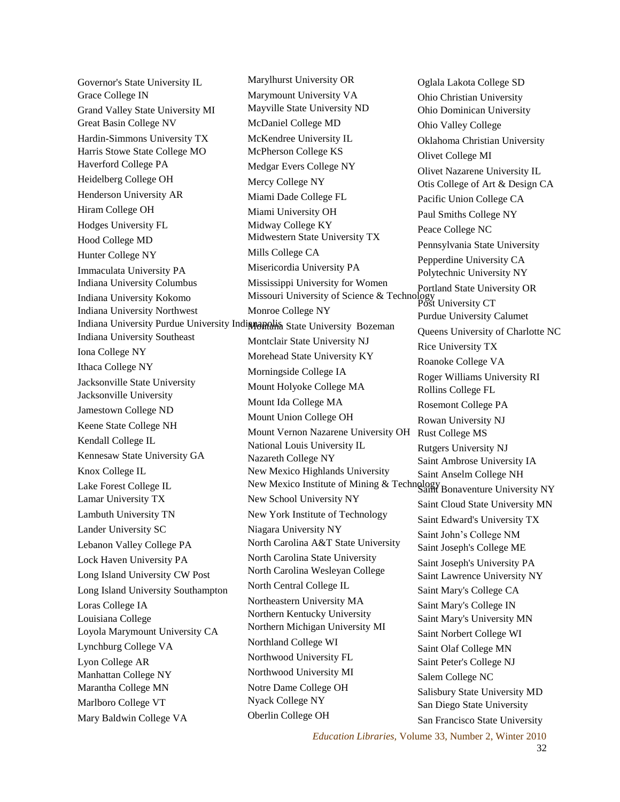Governor's State University IL Grace College IN Grand Valley State University MI Great Basin College NV Hardin-Simmons University TX Harris Stowe State College MO Haverford College PA Heidelberg College OH Henderson University AR Hiram College OH Hodges University FL Hood College MD Hunter College NY Immaculata University PA Indiana University Columbus Indiana University Kokomo Indiana University Northwest Indiana University Purdue University Indi**manalisa** State University Bozeman Indiana University Southeast Iona College NY Ithaca College NY Jacksonville State University Jacksonville University Jamestown College ND Keene State College NH Kendall College IL Kennesaw State University GA Knox College IL Lake Forest College IL Lamar University TX Lambuth University TN Lander University SC Lebanon Valley College PA Lock Haven University PA Long Island University CW Post Long Island University Southampton Loras College IA Louisiana College Loyola Marymount University CA Lynchburg College VA Lyon College AR Manhattan College NY Marantha College MN Marlboro College VT Mary Baldwin College VA

Marylhurst University OR Marymount University VA Mayville State University ND McDaniel College MD McKendree University IL McPherson College KS Medgar Evers College NY Mercy College NY Miami Dade College FL Miami University OH Midway College KY Midwestern State University TX Mills College CA Misericordia University PA Mississippi University for Women Missouri University of Science & Technology Post University CT Monroe College NY Montclair State University NJ Morehead State University KY Morningside College IA Mount Holyoke College MA Mount Ida College MA Mount Union College OH Mount Vernon Nazarene University OH Rust College MS National Louis University IL Nazareth College NY New Mexico Highlands University New Mexico Institute of Mining & Technology Saint Bonaventure University NY New School University NY New York Institute of Technology Niagara University NY North Carolina A&T State University North Carolina State University North Carolina Wesleyan College North Central College IL Northeastern University MA Northern Kentucky University Northern Michigan University MI Northland College WI Northwood University FL Northwood University MI Notre Dame College OH Nyack College NY Oberlin College OH

Oglala Lakota College SD Ohio Christian University Ohio Dominican University Ohio Valley College Oklahoma Christian University Olivet College MI Olivet Nazarene University IL Otis College of Art & Design CA Pacific Union College CA Paul Smiths College NY Peace College NC Pennsylvania State University Pepperdine University CA Polytechnic University NY Portland State University OR Purdue University Calumet Queens University of Charlotte NC Rice University TX Roanoke College VA Roger Williams University RI Rollins College FL Rosemont College PA Rowan University NJ Rutgers University NJ Saint Ambrose University IA Saint Anselm College NH Saint Cloud State University MN Saint Edward's University TX Saint John's College NM Saint Joseph's College ME Saint Joseph's University PA Saint Lawrence University NY Saint Mary's College CA Saint Mary's College IN Saint Mary's University MN Saint Norbert College WI Saint Olaf College MN Saint Peter's College NJ Salem College NC Salisbury State University MD San Diego State University San Francisco State University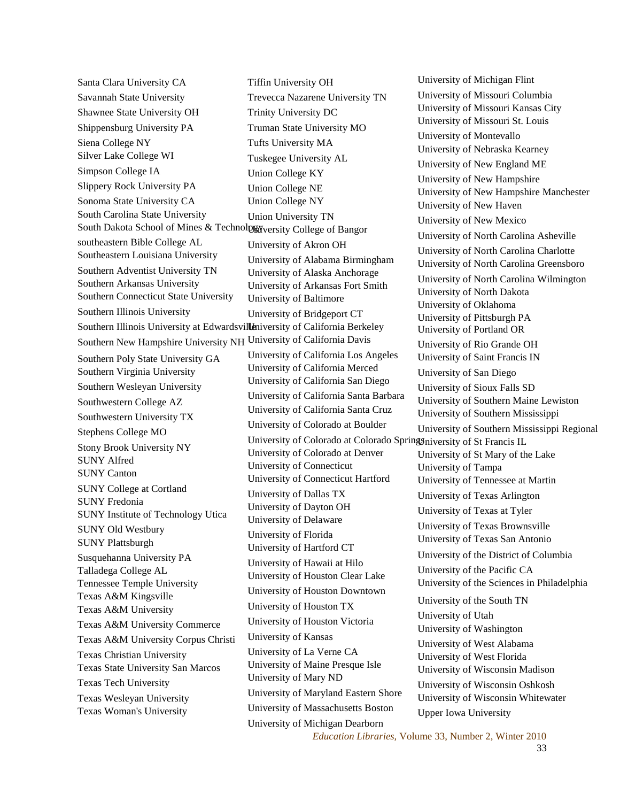Santa Clara University CA Savannah State University Shawnee State University OH Shippensburg University PA Siena College NY Silver Lake College WI Simpson College IA Slippery Rock University PA Sonoma State University CA South Carolina State University South Dakota School of Mines & Technolps Wversity College of Bangor southeastern Bible College AL Southeastern Louisiana University Southern Adventist University TN Southern Arkansas University Southern Connecticut State University Southern Illinois University Southern Illinois University at Edwardsvilleniversity of California Berkeley Southern New Hampshire University NH University of California Davis Southern Poly State University GA Southern Virginia University Southern Wesleyan University Southwestern College AZ Southwestern University TX Stephens College MO Stony Brook University NY SUNY Alfred SUNY Canton SUNY College at Cortland SUNY Fredonia SUNY Institute of Technology Utica SUNY Old Westbury SUNY Plattsburgh Susquehanna University PA Talladega College AL Tennessee Temple University Texas A&M Kingsville Texas A&M University Texas A&M University Commerce Texas A&M University Corpus Christi Texas Christian University Texas State University San Marcos Texas Tech University Texas Wesleyan University Texas Woman's University Tiffin University OH Trevecca Nazarene University TN Trinity University DC Truman State University MO Tufts University MA Tuskegee University AL Union College KY Union College NE Union College NY Union University TN University of Akron OH University of Alabama Birmingham University of Alaska Anchorage University of Arkansas Fort Smith University of Baltimore University of Bridgeport CT University of California Los Angeles University of California Merced University of California San Diego University of California Santa Barbara University of California Santa Cruz University of Colorado at Boulder University of Colorado at Denver University of Connecticut University of Connecticut Hartford University of Dallas TX University of Dayton OH University of Delaware University of Florida University of Hartford CT University of Hawaii at Hilo University of Houston Clear Lake University of Houston Downtown University of Houston TX University of Houston Victoria University of Kansas University of La Verne CA University of Maine Presque Isle University of Mary ND University of Maryland Eastern Shore University of Massachusetts Boston University of Michigan Dearborn

University of Colorado at Colorado Springs University of St Francis IL University of Michigan Flint University of Missouri Columbia University of Missouri Kansas City University of Missouri St. Louis University of Montevallo University of Nebraska Kearney University of New England ME University of New Hampshire University of New Hampshire Manchester University of New Haven University of New Mexico University of North Carolina Asheville University of North Carolina Charlotte University of North Carolina Greensboro University of North Carolina Wilmington University of North Dakota University of Oklahoma University of Pittsburgh PA University of Portland OR University of Rio Grande OH University of Saint Francis IN University of San Diego University of Sioux Falls SD University of Southern Maine Lewiston University of Southern Mississippi University of Southern Mississippi Regional University of St Mary of the Lake University of Tampa University of Tennessee at Martin University of Texas Arlington University of Texas at Tyler University of Texas Brownsville University of Texas San Antonio University of the District of Columbia University of the Pacific CA University of the Sciences in Philadelphia University of the South TN University of Utah University of Washington University of West Alabama University of West Florida University of Wisconsin Madison University of Wisconsin Oshkosh University of Wisconsin Whitewater Upper Iowa University

> *Education Libraries,* Volume 33, Number 2, Winter 2010 33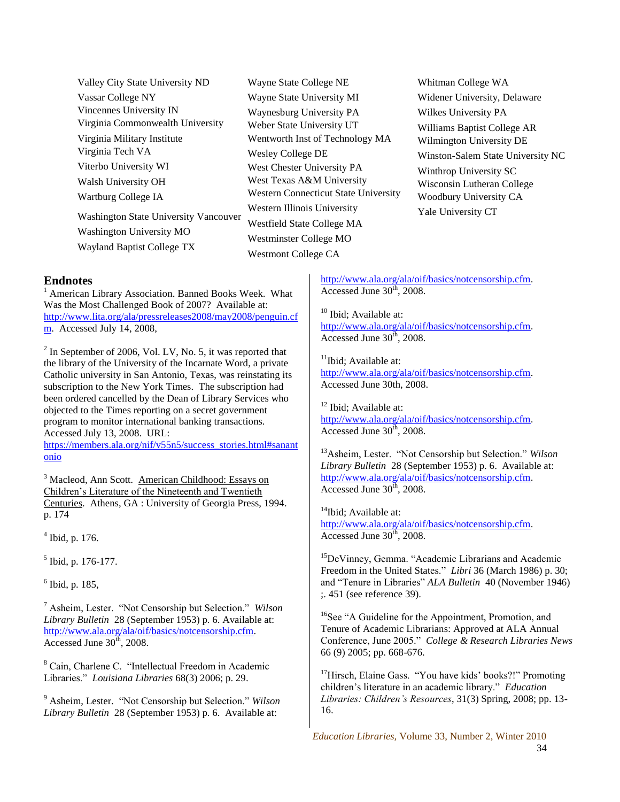Valley City State University ND Vassar College NY Vincennes University IN Virginia Commonwealth University Virginia Military Institute Virginia Tech VA Viterbo University WI Walsh University OH Wartburg College IA Washington State University Vancouver Washington University MO

Wayland Baptist College TX

Wayne State College NE Wayne State University MI Waynesburg University PA Weber State University UT Wentworth Inst of Technology MA Wesley College DE West Chester University PA West Texas A&M University Western Connecticut State University Western Illinois University Westfield State College MA Westminster College MO Westmont College CA

Whitman College WA Widener University, Delaware Wilkes University PA Williams Baptist College AR Wilmington University DE Winston-Salem State University NC Winthrop University SC Wisconsin Lutheran College Woodbury University CA Yale University CT

#### **Endnotes**

<sup>1</sup> American Library Association. Banned Books Week. What Was the Most Challenged Book of 2007? Available at: [http://www.lita.org/ala/pressreleases2008/may2008/penguin.cf](http://www.lita.org/ala/pressreleases2008/may2008/penguin.cfm) [m.](http://www.lita.org/ala/pressreleases2008/may2008/penguin.cfm) Accessed July 14, 2008,

 $2$  In September of 2006, Vol. LV, No. 5, it was reported that the library of the University of the Incarnate Word, a private Catholic university in San Antonio, Texas, was reinstating its subscription to the New York Times. The subscription had been ordered cancelled by the Dean of Library Services who objected to the Times reporting on a secret government program to monitor international banking transactions. Accessed July 13, 2008. URL:

[https://members.ala.org/nif/v55n5/success\\_stories.html#sanant](https://members.ala.org/nif/v55n5/success_stories.html#sanantonio) [onio](https://members.ala.org/nif/v55n5/success_stories.html#sanantonio)

<sup>3</sup> Macleod, Ann Scott. American Childhood: Essays on Children's Literature of the Nineteenth and Twentieth Centuries. Athens, GA : University of Georgia Press, 1994. p. 174

4 Ibid, p. 176.

<sup>5</sup> Ibid, p. 176-177.

6 Ibid, p. 185,

<sup>7</sup> Asheim, Lester. "Not Censorship but Selection." *Wilson Library Bulletin* 28 (September 1953) p. 6. Available at: [http://www.ala.org/ala/oif/basics/notcensorship.cfm.](http://www.ala.org/ala/oif/basics/notcensorship.cfm) Accessed June  $30<sup>th</sup>$ , 2008.

<sup>8</sup> Cain, Charlene C. "Intellectual Freedom in Academic Libraries.‖ *Louisiana Libraries* 68(3) 2006; p. 29.

<sup>9</sup> Asheim, Lester. "Not Censorship but Selection." *Wilson Library Bulletin* 28 (September 1953) p. 6. Available at:

[http://www.ala.org/ala/oif/basics/notcensorship.cfm.](http://www.ala.org/ala/oif/basics/notcensorship.cfm) Accessed June  $30<sup>th</sup>$ , 2008.

<sup>10</sup> Ibid: Available at:

[http://www.ala.org/ala/oif/basics/notcensorship.cfm.](http://www.ala.org/ala/oif/basics/notcensorship.cfm)  $\overline{\text{Accessed June 30}^{\text{th}}}$ , 2008.

<sup>11</sup>Ibid; Available at: [http://www.ala.org/ala/oif/basics/notcensorship.cfm.](http://www.ala.org/ala/oif/basics/notcensorship.cfm) Accessed June 30th, 2008.

<sup>12</sup> Ibid: Available at: [http://www.ala.org/ala/oif/basics/notcensorship.cfm.](http://www.ala.org/ala/oif/basics/notcensorship.cfm) Accessed June  $30<sup>th</sup>$ , 2008.

<sup>13</sup>Asheim, Lester. "Not Censorship but Selection." *Wilson Library Bulletin* 28 (September 1953) p. 6. Available at: [http://www.ala.org/ala/oif/basics/notcensorship.cfm.](http://www.ala.org/ala/oif/basics/notcensorship.cfm) Accessed June  $30<sup>th</sup>$ , 2008.

<sup>14</sup>Ibid; Available at: [http://www.ala.org/ala/oif/basics/notcensorship.cfm.](http://www.ala.org/ala/oif/basics/notcensorship.cfm) Accessed June  $30<sup>th</sup>$ , 2008.

 $15$ DeVinney, Gemma. "Academic Librarians and Academic Freedom in the United States." *Libri* 36 (March 1986) p. 30; and "Tenure in Libraries" *ALA Bulletin* 40 (November 1946) ;. 451 (see reference 39).

<sup>16</sup>See "A Guideline for the Appointment, Promotion, and Tenure of Academic Librarians: Approved at ALA Annual Conference, June 2005.‖ *College & Research Libraries News*  66 (9) 2005; pp. 668-676.

 $17$ Hirsch, Elaine Gass. "You have kids' books?!" Promoting children's literature in an academic library." *Education Libraries: Children's Resources*, 31(3) Spring, 2008; pp. 13- 16.

*Education Libraries,* Volume 33, Number 2, Winter 2010 34